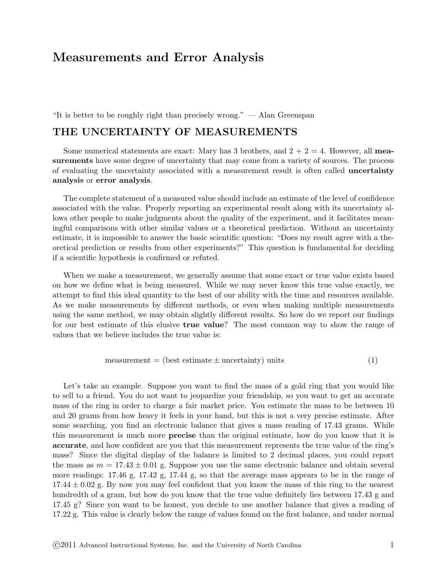# Measurements and Error Analysis

"It is better to be roughly right than precisely wrong." — Alan Greenspan

# THE UNCERTAINTY OF MEASUREMENTS

Some numerical statements are exact: Mary has 3 brothers, and  $2 + 2 = 4$ . However, all measurements have some degree of uncertainty that may come from a variety of sources. The process of evaluating the uncertainty associated with a measurement result is often called uncertainty analysis or error analysis.

The complete statement of a measured value should include an estimate of the level of confidence associated with the value. Properly reporting an experimental result along with its uncertainty allows other people to make judgments about the quality of the experiment, and it facilitates meaningful comparisons with other similar values or a theoretical prediction. Without an uncertainty estimate, it is impossible to answer the basic scientific question: "Does my result agree with a theoretical prediction or results from other experiments?" This question is fundamental for deciding if a scientific hypothesis is confirmed or refuted.

When we make a measurement, we generally assume that some exact or true value exists based on how we define what is being measured. While we may never know this true value exactly, we attempt to find this ideal quantity to the best of our ability with the time and resources available. As we make measurements by different methods, or even when making multiple measurements using the same method, we may obtain slightly different results. So how do we report our findings for our best estimate of this elusive true value? The most common way to show the range of values that we believe includes the true value is:

$$
measurement = (best estimate \pm uncertainty) units \tag{1}
$$

Let's take an example. Suppose you want to find the mass of a gold ring that you would like to sell to a friend. You do not want to jeopardize your friendship, so you want to get an accurate mass of the ring in order to charge a fair market price. You estimate the mass to be between 10 and 20 grams from how heavy it feels in your hand, but this is not a very precise estimate. After some searching, you find an electronic balance that gives a mass reading of 17.43 grams. While this measurement is much more precise than the original estimate, how do you know that it is accurate, and how confident are you that this measurement represents the true value of the ring's mass? Since the digital display of the balance is limited to 2 decimal places, you could report the mass as  $m = 17.43 \pm 0.01$  g. Suppose you use the same electronic balance and obtain several more readings: 17.46 g, 17.42 g, 17.44 g, so that the average mass appears to be in the range of  $17.44 \pm 0.02$  g. By now you may feel confident that you know the mass of this ring to the nearest hundredth of a gram, but how do you know that the true value definitely lies between 17.43 g and 17.45 g? Since you want to be honest, you decide to use another balance that gives a reading of 17.22 g. This value is clearly below the range of values found on the first balance, and under normal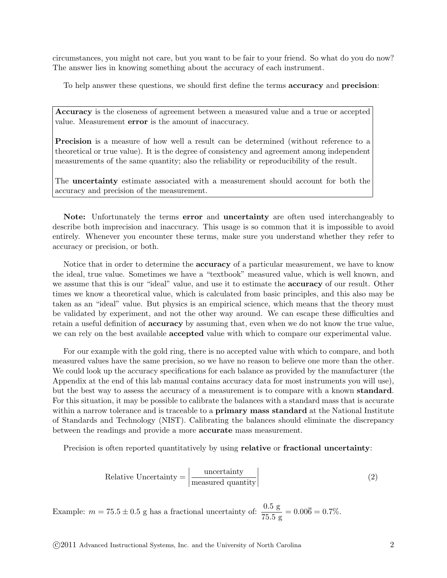circumstances, you might not care, but you want to be fair to your friend. So what do you do now? The answer lies in knowing something about the accuracy of each instrument.

To help answer these questions, we should first define the terms accuracy and precision:

Accuracy is the closeness of agreement between a measured value and a true or accepted value. Measurement error is the amount of inaccuracy.

Precision is a measure of how well a result can be determined (without reference to a theoretical or true value). It is the degree of consistency and agreement among independent measurements of the same quantity; also the reliability or reproducibility of the result.

The uncertainty estimate associated with a measurement should account for both the accuracy and precision of the measurement.

Note: Unfortunately the terms error and uncertainty are often used interchangeably to describe both imprecision and inaccuracy. This usage is so common that it is impossible to avoid entirely. Whenever you encounter these terms, make sure you understand whether they refer to accuracy or precision, or both.

Notice that in order to determine the accuracy of a particular measurement, we have to know the ideal, true value. Sometimes we have a "textbook" measured value, which is well known, and we assume that this is our "ideal" value, and use it to estimate the **accuracy** of our result. Other times we know a theoretical value, which is calculated from basic principles, and this also may be taken as an "ideal" value. But physics is an empirical science, which means that the theory must be validated by experiment, and not the other way around. We can escape these difficulties and retain a useful definition of accuracy by assuming that, even when we do not know the true value, we can rely on the best available accepted value with which to compare our experimental value.

For our example with the gold ring, there is no accepted value with which to compare, and both measured values have the same precision, so we have no reason to believe one more than the other. We could look up the accuracy specifications for each balance as provided by the manufacturer (the Appendix at the end of this lab manual contains accuracy data for most instruments you will use), but the best way to assess the accuracy of a measurement is to compare with a known standard. For this situation, it may be possible to calibrate the balances with a standard mass that is accurate within a narrow tolerance and is traceable to a **primary mass standard** at the National Institute of Standards and Technology (NIST). Calibrating the balances should eliminate the discrepancy between the readings and provide a more accurate mass measurement.

Precision is often reported quantitatively by using **relative** or **fractional uncertainty**:

Relative Uncertainty = 
$$
\frac{\text{uncertainty}}{\text{measured quantity}}
$$
 (2)

Example:  $m = 75.5 \pm 0.5$  g has a fractional uncertainty of:  $\frac{0.5 \text{ g}}{75.5 \text{ g}} = 0.006 = 0.7\%$ .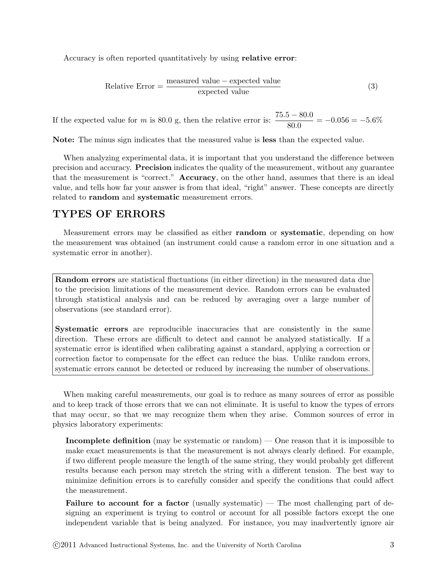Accuracy is often reported quantitatively by using relative error:

Relative Error = 
$$
\frac{\text{measured value} - \text{expected value}}{\text{expected value}}
$$
 (3)

If the expected value for m is 80.0 g, then the relative error is:  $\frac{75.5 - 80.0}{80.0} = -0.056 = -5.6\%$ 

Note: The minus sign indicates that the measured value is less than the expected value.

When analyzing experimental data, it is important that you understand the difference between precision and accuracy. Precision indicates the quality of the measurement, without any guarantee that the measurement is "correct." Accuracy, on the other hand, assumes that there is an ideal value, and tells how far your answer is from that ideal, "right" answer. These concepts are directly related to random and systematic measurement errors.

# TYPES OF ERRORS

Measurement errors may be classified as either random or systematic, depending on how the measurement was obtained (an instrument could cause a random error in one situation and a systematic error in another).

Random errors are statistical fluctuations (in either direction) in the measured data due to the precision limitations of the measurement device. Random errors can be evaluated through statistical analysis and can be reduced by averaging over a large number of observations (see standard error).

Systematic errors are reproducible inaccuracies that are consistently in the same direction. These errors are difficult to detect and cannot be analyzed statistically. If a systematic error is identified when calibrating against a standard, applying a correction or correction factor to compensate for the effect can reduce the bias. Unlike random errors, systematic errors cannot be detected or reduced by increasing the number of observations.

When making careful measurements, our goal is to reduce as many sources of error as possible and to keep track of those errors that we can not eliminate. It is useful to know the types of errors that may occur, so that we may recognize them when they arise. Common sources of error in physics laboratory experiments:

Incomplete definition (may be systematic or random) — One reason that it is impossible to make exact measurements is that the measurement is not always clearly defined. For example, if two different people measure the length of the same string, they would probably get different results because each person may stretch the string with a different tension. The best way to minimize definition errors is to carefully consider and specify the conditions that could affect the measurement.

Failure to account for a factor (usually systematic)  $-$  The most challenging part of designing an experiment is trying to control or account for all possible factors except the one independent variable that is being analyzed. For instance, you may inadvertently ignore air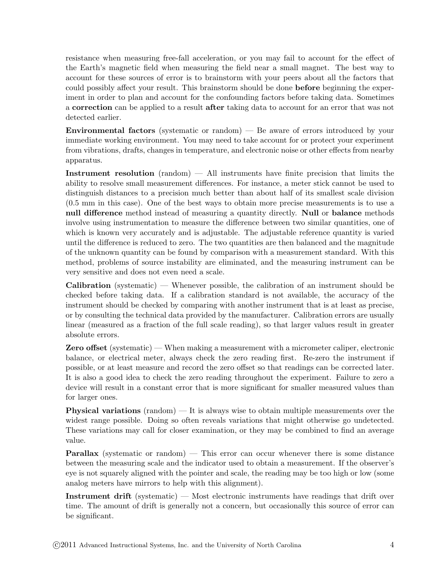resistance when measuring free-fall acceleration, or you may fail to account for the effect of the Earth's magnetic field when measuring the field near a small magnet. The best way to account for these sources of error is to brainstorm with your peers about all the factors that could possibly affect your result. This brainstorm should be done **before** beginning the experiment in order to plan and account for the confounding factors before taking data. Sometimes a correction can be applied to a result after taking data to account for an error that was not detected earlier.

Environmental factors (systematic or random) — Be aware of errors introduced by your immediate working environment. You may need to take account for or protect your experiment from vibrations, drafts, changes in temperature, and electronic noise or other effects from nearby apparatus.

Instrument resolution (random) — All instruments have finite precision that limits the ability to resolve small measurement differences. For instance, a meter stick cannot be used to distinguish distances to a precision much better than about half of its smallest scale division (0.5 mm in this case). One of the best ways to obtain more precise measurements is to use a null difference method instead of measuring a quantity directly. Null or balance methods involve using instrumentation to measure the difference between two similar quantities, one of which is known very accurately and is adjustable. The adjustable reference quantity is varied until the difference is reduced to zero. The two quantities are then balanced and the magnitude of the unknown quantity can be found by comparison with a measurement standard. With this method, problems of source instability are eliminated, and the measuring instrument can be very sensitive and does not even need a scale.

**Calibration** (systematic) — Whenever possible, the calibration of an instrument should be checked before taking data. If a calibration standard is not available, the accuracy of the instrument should be checked by comparing with another instrument that is at least as precise, or by consulting the technical data provided by the manufacturer. Calibration errors are usually linear (measured as a fraction of the full scale reading), so that larger values result in greater absolute errors.

Zero offset (systematic) — When making a measurement with a micrometer caliper, electronic balance, or electrical meter, always check the zero reading first. Re-zero the instrument if possible, or at least measure and record the zero offset so that readings can be corrected later. It is also a good idea to check the zero reading throughout the experiment. Failure to zero a device will result in a constant error that is more significant for smaller measured values than for larger ones.

Physical variations (random) — It is always wise to obtain multiple measurements over the widest range possible. Doing so often reveals variations that might otherwise go undetected. These variations may call for closer examination, or they may be combined to find an average value.

**Parallax** (systematic or random) — This error can occur whenever there is some distance between the measuring scale and the indicator used to obtain a measurement. If the observer's eye is not squarely aligned with the pointer and scale, the reading may be too high or low (some analog meters have mirrors to help with this alignment).

Instrument drift (systematic)  $-$  Most electronic instruments have readings that drift over time. The amount of drift is generally not a concern, but occasionally this source of error can be significant.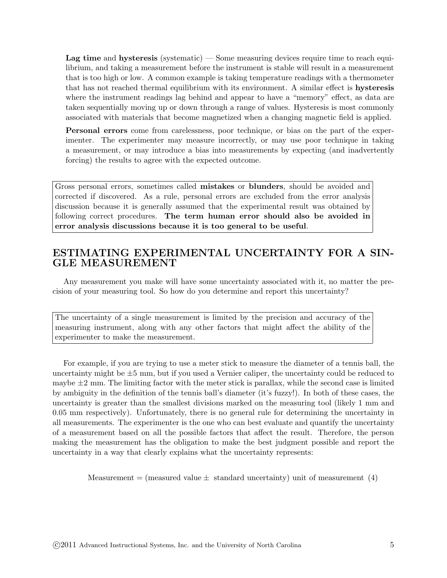Lag time and hysteresis (systematic) — Some measuring devices require time to reach equilibrium, and taking a measurement before the instrument is stable will result in a measurement that is too high or low. A common example is taking temperature readings with a thermometer that has not reached thermal equilibrium with its environment. A similar effect is hysteresis where the instrument readings lag behind and appear to have a "memory" effect, as data are taken sequentially moving up or down through a range of values. Hysteresis is most commonly associated with materials that become magnetized when a changing magnetic field is applied.

Personal errors come from carelessness, poor technique, or bias on the part of the experimenter. The experimenter may measure incorrectly, or may use poor technique in taking a measurement, or may introduce a bias into measurements by expecting (and inadvertently forcing) the results to agree with the expected outcome.

Gross personal errors, sometimes called mistakes or blunders, should be avoided and corrected if discovered. As a rule, personal errors are excluded from the error analysis discussion because it is generally assumed that the experimental result was obtained by following correct procedures. The term human error should also be avoided in error analysis discussions because it is too general to be useful.

# ESTIMATING EXPERIMENTAL UNCERTAINTY FOR A SIN-GLE MEASUREMENT

Any measurement you make will have some uncertainty associated with it, no matter the precision of your measuring tool. So how do you determine and report this uncertainty?

The uncertainty of a single measurement is limited by the precision and accuracy of the measuring instrument, along with any other factors that might affect the ability of the experimenter to make the measurement.

For example, if you are trying to use a meter stick to measure the diameter of a tennis ball, the uncertainty might be  $\pm 5$  mm, but if you used a Vernier caliper, the uncertainty could be reduced to maybe  $\pm 2$  mm. The limiting factor with the meter stick is parallax, while the second case is limited by ambiguity in the definition of the tennis ball's diameter (it's fuzzy!). In both of these cases, the uncertainty is greater than the smallest divisions marked on the measuring tool (likely 1 mm and 0.05 mm respectively). Unfortunately, there is no general rule for determining the uncertainty in all measurements. The experimenter is the one who can best evaluate and quantify the uncertainty of a measurement based on all the possible factors that affect the result. Therefore, the person making the measurement has the obligation to make the best judgment possible and report the uncertainty in a way that clearly explains what the uncertainty represents:

Measurement = (measured value  $\pm$  standard uncertainty) unit of measurement (4)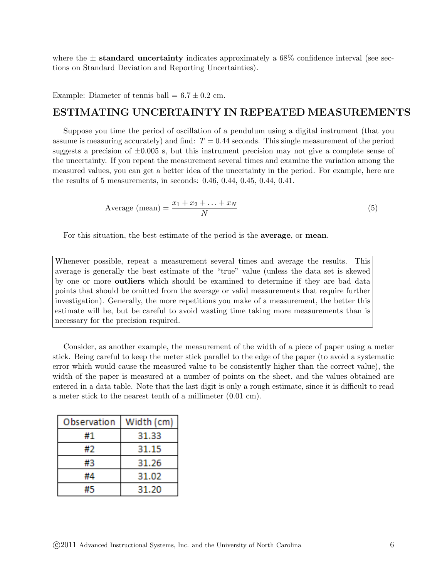where the  $\pm$  standard uncertainty indicates approximately a 68% confidence interval (see sections on Standard Deviation and Reporting Uncertainties).

Example: Diameter of tennis ball  $= 6.7 \pm 0.2$  cm.

# ESTIMATING UNCERTAINTY IN REPEATED MEASUREMENTS

Suppose you time the period of oscillation of a pendulum using a digital instrument (that you assume is measuring accurately) and find:  $T = 0.44$  seconds. This single measurement of the period suggests a precision of  $\pm 0.005$  s, but this instrument precision may not give a complete sense of the uncertainty. If you repeat the measurement several times and examine the variation among the measured values, you can get a better idea of the uncertainty in the period. For example, here are the results of 5 measurements, in seconds: 0.46, 0.44, 0.45, 0.44, 0.41.

Average (mean) = 
$$
\frac{x_1 + x_2 + \ldots + x_N}{N}
$$
 (5)

For this situation, the best estimate of the period is the average, or mean.

Whenever possible, repeat a measurement several times and average the results. This average is generally the best estimate of the "true" value (unless the data set is skewed by one or more outliers which should be examined to determine if they are bad data points that should be omitted from the average or valid measurements that require further investigation). Generally, the more repetitions you make of a measurement, the better this estimate will be, but be careful to avoid wasting time taking more measurements than is necessary for the precision required.

Consider, as another example, the measurement of the width of a piece of paper using a meter stick. Being careful to keep the meter stick parallel to the edge of the paper (to avoid a systematic error which would cause the measured value to be consistently higher than the correct value), the width of the paper is measured at a number of points on the sheet, and the values obtained are entered in a data table. Note that the last digit is only a rough estimate, since it is difficult to read a meter stick to the nearest tenth of a millimeter (0.01 cm).

| Observation | Width (cm) |  |
|-------------|------------|--|
| #1          | 31.33      |  |
| #2          | 31.15      |  |
| #3          | 31.26      |  |
| #4          | 31.02      |  |
| #5          | 31.20      |  |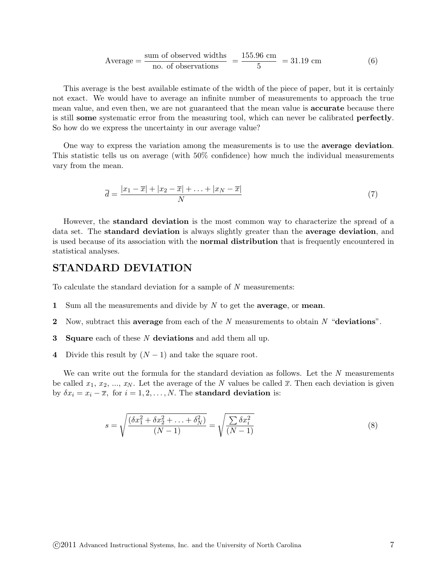Average = 
$$
\frac{\text{sum of observed widths}}{\text{no. of observations}}
$$
 =  $\frac{155.96 \text{ cm}}{5}$  = 31.19 cm (6)

This average is the best available estimate of the width of the piece of paper, but it is certainly not exact. We would have to average an infinite number of measurements to approach the true mean value, and even then, we are not guaranteed that the mean value is accurate because there is still some systematic error from the measuring tool, which can never be calibrated perfectly. So how do we express the uncertainty in our average value?

One way to express the variation among the measurements is to use the average deviation. This statistic tells us on average (with 50% confidence) how much the individual measurements vary from the mean.

$$
\overline{d} = \frac{|x_1 - \overline{x}| + |x_2 - \overline{x}| + \ldots + |x_N - \overline{x}|}{N}
$$
\n<sup>(7)</sup>

However, the standard deviation is the most common way to characterize the spread of a data set. The standard deviation is always slightly greater than the average deviation, and is used because of its association with the normal distribution that is frequently encountered in statistical analyses.

#### STANDARD DEVIATION

To calculate the standard deviation for a sample of N measurements:

- 1 Sum all the measurements and divide by  $N$  to get the **average**, or **mean**.
- 2 Now, subtract this average from each of the  $N$  measurements to obtain  $N$  "deviations".
- **3** Square each of these N deviations and add them all up.
- 4 Divide this result by  $(N-1)$  and take the square root.

We can write out the formula for the standard deviation as follows. Let the N measurements be called  $x_1, x_2, ..., x_N$ . Let the average of the N values be called  $\bar{x}$ . Then each deviation is given by  $\delta x_i = x_i - \overline{x}$ , for  $i = 1, 2, ..., N$ . The standard deviation is:

$$
s = \sqrt{\frac{(\delta x_1^2 + \delta x_2^2 + \dots + \delta_N^2)}{(N-1)}} = \sqrt{\frac{\sum \delta x_i^2}{(N-1)}}
$$
(8)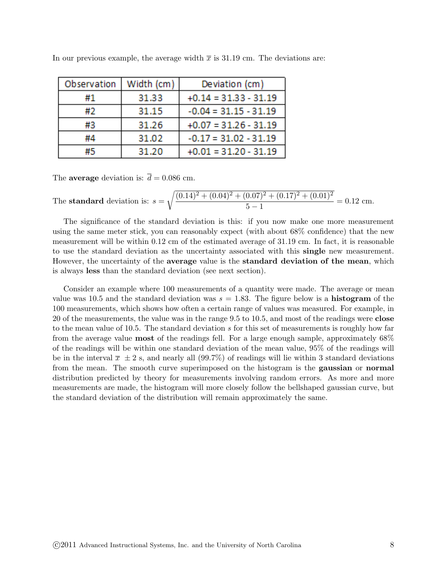| Observation | Width (cm) | Deviation (cm)          |
|-------------|------------|-------------------------|
| #1          | 31.33      | $+0.14 = 31.33 - 31.19$ |
| #2          | 31.15      | $-0.04 = 31.15 - 31.19$ |
| #3          | 31.26      | $+0.07 = 31.26 - 31.19$ |
| #4          | 31.02      | $-0.17 = 31.02 - 31.19$ |
| #5          | 31.20      | $+0.01 = 31.20 - 31.19$ |

In our previous example, the average width  $\bar{x}$  is 31.19 cm. The deviations are:

The **average** deviation is:  $\bar{d} = 0.086$  cm.

The **standard** deviation is: 
$$
s = \sqrt{\frac{(0.14)^2 + (0.04)^2 + (0.07)^2 + (0.17)^2 + (0.01)^2}{5 - 1}} = 0.12
$$
 cm.

The significance of the standard deviation is this: if you now make one more measurement using the same meter stick, you can reasonably expect (with about 68% confidence) that the new measurement will be within 0.12 cm of the estimated average of 31.19 cm. In fact, it is reasonable to use the standard deviation as the uncertainty associated with this single new measurement. However, the uncertainty of the **average** value is the **standard deviation of the mean**, which is always less than the standard deviation (see next section).

Consider an example where 100 measurements of a quantity were made. The average or mean value was 10.5 and the standard deviation was  $s = 1.83$ . The figure below is a **histogram** of the 100 measurements, which shows how often a certain range of values was measured. For example, in 20 of the measurements, the value was in the range 9.5 to 10.5, and most of the readings were close to the mean value of 10.5. The standard deviation  $s$  for this set of measurements is roughly how far from the average value most of the readings fell. For a large enough sample, approximately 68% of the readings will be within one standard deviation of the mean value, 95% of the readings will be in the interval  $\bar{x} \pm 2$  s, and nearly all (99.7%) of readings will lie within 3 standard deviations from the mean. The smooth curve superimposed on the histogram is the gaussian or normal distribution predicted by theory for measurements involving random errors. As more and more measurements are made, the histogram will more closely follow the bellshaped gaussian curve, but the standard deviation of the distribution will remain approximately the same.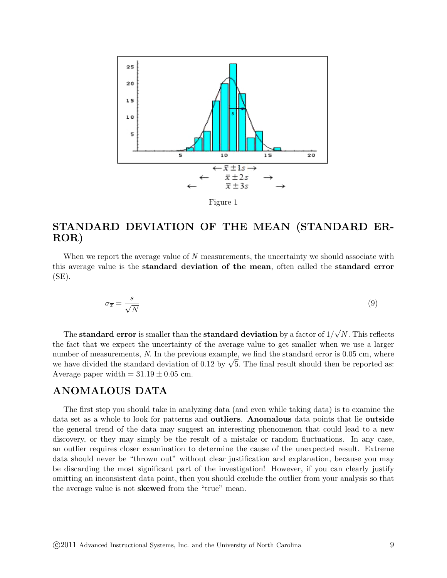

Figure 1

# STANDARD DEVIATION OF THE MEAN (STANDARD ER-ROR)

When we report the average value of N measurements, the uncertainty we should associate with this average value is the standard deviation of the mean, often called the standard error  $(SE)$ .

$$
\sigma_{\overline{x}} = \frac{s}{\sqrt{N}} \tag{9}
$$

The standard error is smaller than the standard deviation by a factor of  $1/$ √ N. This reflects the fact that we expect the uncertainty of the average value to get smaller when we use a larger number of measurements, N. In the previous example, we find the standard error is 0.05 cm, where number of measurements, *N*. In the previous example, we find the standard error is 0.05 cm, where<br>we have divided the standard deviation of 0.12 by  $\sqrt{5}$ . The final result should then be reported as: Average paper width  $= 31.19 \pm 0.05$  cm.

### ANOMALOUS DATA

The first step you should take in analyzing data (and even while taking data) is to examine the data set as a whole to look for patterns and outliers. Anomalous data points that lie outside the general trend of the data may suggest an interesting phenomenon that could lead to a new discovery, or they may simply be the result of a mistake or random fluctuations. In any case, an outlier requires closer examination to determine the cause of the unexpected result. Extreme data should never be "thrown out" without clear justification and explanation, because you may be discarding the most significant part of the investigation! However, if you can clearly justify omitting an inconsistent data point, then you should exclude the outlier from your analysis so that the average value is not skewed from the "true" mean.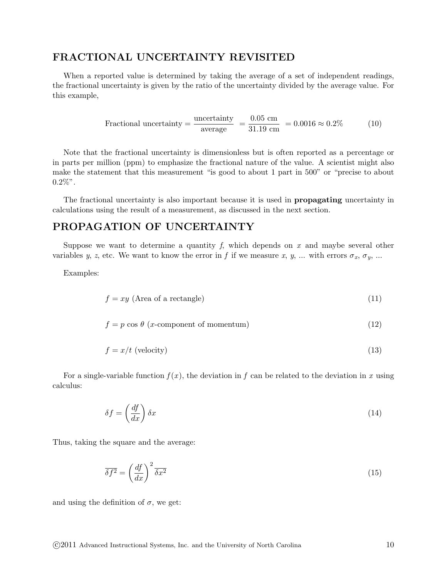#### FRACTIONAL UNCERTAINTY REVISITED

When a reported value is determined by taking the average of a set of independent readings, the fractional uncertainty is given by the ratio of the uncertainty divided by the average value. For this example,

$$
Fractional uncertainty = \frac{\text{uncertainty}}{\text{average}} = \frac{0.05 \text{ cm}}{31.19 \text{ cm}} = 0.0016 \approx 0.2\% \tag{10}
$$

Note that the fractional uncertainty is dimensionless but is often reported as a percentage or in parts per million (ppm) to emphasize the fractional nature of the value. A scientist might also make the statement that this measurement "is good to about 1 part in 500" or "precise to about  $0.2\%$ ".

The fractional uncertainty is also important because it is used in propagating uncertainty in calculations using the result of a measurement, as discussed in the next section.

### PROPAGATION OF UNCERTAINTY

Suppose we want to determine a quantity f, which depends on  $x$  and maybe several other variables y, z, etc. We want to know the error in f if we measure x, y, ... with errors  $\sigma_x$ ,  $\sigma_y$ , ...

Examples:

$$
f = xy \text{ (Area of a rectangle)}
$$
\n
$$
(11)
$$

$$
f = p \cos \theta \text{ (x-component of momentum)} \tag{12}
$$

$$
f = x/t \text{ (velocity)}\tag{13}
$$

For a single-variable function  $f(x)$ , the deviation in f can be related to the deviation in x using calculus:

$$
\delta f = \left(\frac{df}{dx}\right)\delta x\tag{14}
$$

Thus, taking the square and the average:

$$
\overline{\delta f^2} = \left(\frac{df}{dx}\right)^2 \overline{\delta x^2} \tag{15}
$$

and using the definition of  $\sigma$ , we get: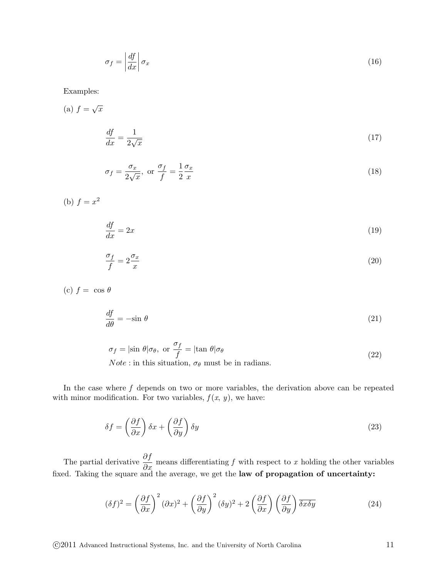$$
\sigma_f = \left| \frac{df}{dx} \right| \sigma_x \tag{16}
$$

Examples:

(a) 
$$
f = \sqrt{x}
$$
  
\n
$$
\frac{df}{dx} = \frac{1}{2\sqrt{x}}
$$
\n(17)

$$
\sigma_f = \frac{\sigma_x}{2\sqrt{x}}, \text{ or } \frac{\sigma_f}{f} = \frac{1}{2} \frac{\sigma_x}{x}
$$
\n(18)

(b)  $f = x^2$ 

$$
\frac{df}{dx} = 2x\tag{19}
$$

$$
\frac{\sigma_f}{f} = 2\frac{\sigma_x}{x} \tag{20}
$$

(c)  $f = \cos \theta$ 

$$
\frac{df}{d\theta} = -\sin\theta\tag{21}
$$

$$
\sigma_f = |\sin \theta| \sigma_\theta, \text{ or } \frac{\sigma_f}{f} = |\tan \theta| \sigma_\theta
$$
  
\n*Note*: in this situation,  $\sigma_\theta$  must be in radians. (22)

In the case where  $f$  depends on two or more variables, the derivation above can be repeated with minor modification. For two variables,  $f(x, y)$ , we have:

$$
\delta f = \left(\frac{\partial f}{\partial x}\right)\delta x + \left(\frac{\partial f}{\partial y}\right)\delta y\tag{23}
$$

The partial derivative  $\frac{\partial f}{\partial x}$  means differentiating f with respect to x holding the other variables fixed. Taking the square and the average, we get the law of propagation of uncertainty:

$$
(\delta f)^2 = \left(\frac{\partial f}{\partial x}\right)^2 (\partial x)^2 + \left(\frac{\partial f}{\partial y}\right)^2 (\delta y)^2 + 2\left(\frac{\partial f}{\partial x}\right) \left(\frac{\partial f}{\partial y}\right) \overline{\delta x \delta y}
$$
(24)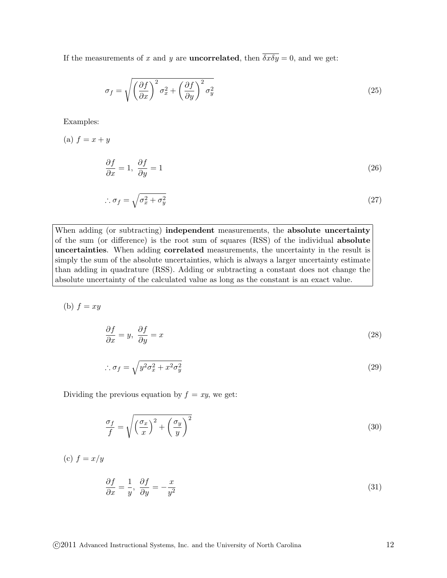If the measurements of x and y are **uncorrelated**, then  $\overline{\delta x \delta y} = 0$ , and we get:

$$
\sigma_f = \sqrt{\left(\frac{\partial f}{\partial x}\right)^2 \sigma_x^2 + \left(\frac{\partial f}{\partial y}\right)^2 \sigma_y^2}
$$
\n(25)

Examples:

(a)  $f = x + y$ 

$$
\frac{\partial f}{\partial x} = 1, \ \frac{\partial f}{\partial y} = 1 \tag{26}
$$

$$
\therefore \sigma_f = \sqrt{\sigma_x^2 + \sigma_y^2} \tag{27}
$$

When adding (or subtracting) **independent** measurements, the **absolute uncertainty** of the sum (or difference) is the root sum of squares (RSS) of the individual absolute uncertainties. When adding correlated measurements, the uncertainty in the result is simply the sum of the absolute uncertainties, which is always a larger uncertainty estimate than adding in quadrature (RSS). Adding or subtracting a constant does not change the absolute uncertainty of the calculated value as long as the constant is an exact value.

(b)  $f = xy$ 

$$
\frac{\partial f}{\partial x} = y, \ \frac{\partial f}{\partial y} = x \tag{28}
$$

$$
\therefore \sigma_f = \sqrt{y^2 \sigma_x^2 + x^2 \sigma_y^2} \tag{29}
$$

Dividing the previous equation by  $f = xy$ , we get:

$$
\frac{\sigma_f}{f} = \sqrt{\left(\frac{\sigma_x}{x}\right)^2 + \left(\frac{\sigma_y}{y}\right)^2} \tag{30}
$$

(c)  $f = x/y$ 

$$
\frac{\partial f}{\partial x} = \frac{1}{y}, \ \frac{\partial f}{\partial y} = -\frac{x}{y^2} \tag{31}
$$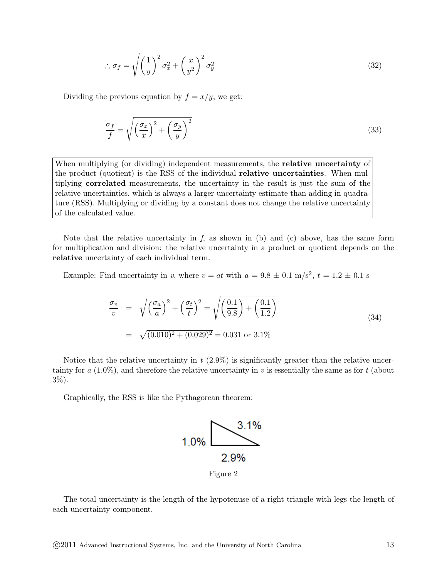$$
\therefore \sigma_f = \sqrt{\left(\frac{1}{y}\right)^2 \sigma_x^2 + \left(\frac{x}{y^2}\right)^2 \sigma_y^2}
$$
\n(32)

Dividing the previous equation by  $f = x/y$ , we get:

$$
\frac{\sigma_f}{f} = \sqrt{\left(\frac{\sigma_x}{x}\right)^2 + \left(\frac{\sigma_y}{y}\right)^2} \tag{33}
$$

When multiplying (or dividing) independent measurements, the **relative uncertainty** of the product (quotient) is the RSS of the individual relative uncertainties. When multiplying correlated measurements, the uncertainty in the result is just the sum of the relative uncertainties, which is always a larger uncertainty estimate than adding in quadrature (RSS). Multiplying or dividing by a constant does not change the relative uncertainty of the calculated value.

Note that the relative uncertainty in  $f$ , as shown in (b) and (c) above, has the same form for multiplication and division: the relative uncertainty in a product or quotient depends on the relative uncertainty of each individual term.

Example: Find uncertainty in v, where  $v = at$  with  $a = 9.8 \pm 0.1$  m/s<sup>2</sup>,  $t = 1.2 \pm 0.1$  s

$$
\frac{\sigma_v}{v} = \sqrt{\left(\frac{\sigma_a}{a}\right)^2 + \left(\frac{\sigma_t}{t}\right)^2} = \sqrt{\left(\frac{0.1}{9.8}\right) + \left(\frac{0.1}{1.2}\right)}
$$
\n
$$
= \sqrt{(0.010)^2 + (0.029)^2} = 0.031 \text{ or } 3.1\%
$$
\n(34)

Notice that the relative uncertainty in  $t$  (2.9%) is significantly greater than the relative uncertainty for a  $(1.0\%)$ , and therefore the relative uncertainty in v is essentially the same as for t (about 3%).

Graphically, the RSS is like the Pythagorean theorem:



The total uncertainty is the length of the hypotenuse of a right triangle with legs the length of each uncertainty component.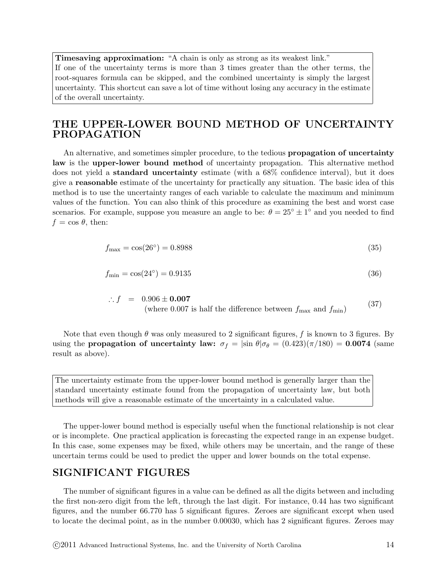Timesaving approximation: "A chain is only as strong as its weakest link." If one of the uncertainty terms is more than 3 times greater than the other terms, the root-squares formula can be skipped, and the combined uncertainty is simply the largest uncertainty. This shortcut can save a lot of time without losing any accuracy in the estimate of the overall uncertainty.

# THE UPPER-LOWER BOUND METHOD OF UNCERTAINTY PROPAGATION

An alternative, and sometimes simpler procedure, to the tedious propagation of uncertainty law is the upper-lower bound method of uncertainty propagation. This alternative method does not yield a standard uncertainty estimate (with a 68% confidence interval), but it does give a reasonable estimate of the uncertainty for practically any situation. The basic idea of this method is to use the uncertainty ranges of each variable to calculate the maximum and minimum values of the function. You can also think of this procedure as examining the best and worst case scenarios. For example, suppose you measure an angle to be:  $\theta = 25^{\circ} \pm 1^{\circ}$  and you needed to find  $f = \cos \theta$ , then:

$$
f_{\text{max}} = \cos(26^\circ) = 0.8988\tag{35}
$$

$$
f_{\min} = \cos(24^{\circ}) = 0.9135\tag{36}
$$

∴  $f = 0.906 \pm 0.007$ (where 0.007 is half the difference between  $f_{\text{max}}$  and  $f_{\text{min}}$ ) (37)

Note that even though  $\theta$  was only measured to 2 significant figures, f is known to 3 figures. By using the **propagation of uncertainty law:**  $\sigma_f = |\sin \theta| \sigma_\theta = (0.423)(\pi/180) = 0.0074$  (same result as above).

The uncertainty estimate from the upper-lower bound method is generally larger than the standard uncertainty estimate found from the propagation of uncertainty law, but both methods will give a reasonable estimate of the uncertainty in a calculated value.

The upper-lower bound method is especially useful when the functional relationship is not clear or is incomplete. One practical application is forecasting the expected range in an expense budget. In this case, some expenses may be fixed, while others may be uncertain, and the range of these uncertain terms could be used to predict the upper and lower bounds on the total expense.

#### SIGNIFICANT FIGURES

The number of significant figures in a value can be defined as all the digits between and including the first non-zero digit from the left, through the last digit. For instance, 0.44 has two significant figures, and the number 66.770 has 5 significant figures. Zeroes are significant except when used to locate the decimal point, as in the number 0.00030, which has 2 significant figures. Zeroes may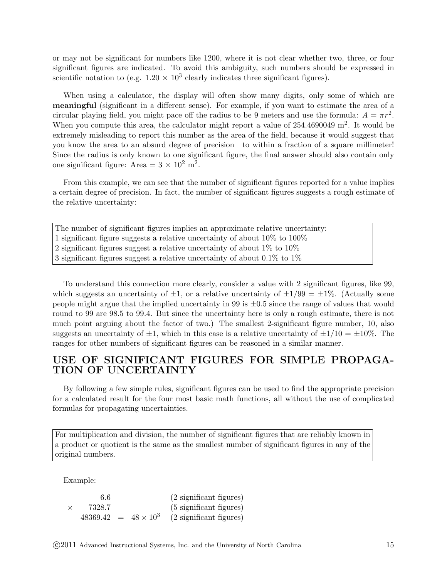or may not be significant for numbers like 1200, where it is not clear whether two, three, or four significant figures are indicated. To avoid this ambiguity, such numbers should be expressed in scientific notation to (e.g.  $1.20 \times 10^3$  clearly indicates three significant figures).

When using a calculator, the display will often show many digits, only some of which are meaningful (significant in a different sense). For example, if you want to estimate the area of a circular playing field, you might pace off the radius to be 9 meters and use the formula:  $A = \pi r^2$ . When you compute this area, the calculator might report a value of  $254.4690049 \text{ m}^2$ . It would be extremely misleading to report this number as the area of the field, because it would suggest that you know the area to an absurd degree of precision—to within a fraction of a square millimeter! Since the radius is only known to one significant figure, the final answer should also contain only one significant figure: Area =  $3 \times 10^2$  m<sup>2</sup>.

From this example, we can see that the number of significant figures reported for a value implies a certain degree of precision. In fact, the number of significant figures suggests a rough estimate of the relative uncertainty:

The number of significant figures implies an approximate relative uncertainty: 1 significant figure suggests a relative uncertainty of about 10% to 100% 2 significant figures suggest a relative uncertainty of about 1% to 10% 3 significant figures suggest a relative uncertainty of about  $0.1\%$  to  $1\%$ 

To understand this connection more clearly, consider a value with 2 significant figures, like 99, which suggests an uncertainty of  $\pm 1$ , or a relative uncertainty of  $\pm 1/99 = \pm 1\%$ . (Actually some people might argue that the implied uncertainty in 99 is  $\pm 0.5$  since the range of values that would round to 99 are 98.5 to 99.4. But since the uncertainty here is only a rough estimate, there is not much point arguing about the factor of two.) The smallest 2-significant figure number, 10, also suggests an uncertainty of  $\pm 1$ , which in this case is a relative uncertainty of  $\pm 1/10 = \pm 10\%$ . The ranges for other numbers of significant figures can be reasoned in a similar manner.

### USE OF SIGNIFICANT FIGURES FOR SIMPLE PROPAGA-TION OF UNCERTAINTY

By following a few simple rules, significant figures can be used to find the appropriate precision for a calculated result for the four most basic math functions, all without the use of complicated formulas for propagating uncertainties.

For multiplication and division, the number of significant figures that are reliably known in a product or quotient is the same as the smallest number of significant figures in any of the original numbers.

Example:

6.6 (2 significant figures)  $\times$  7328.7 (5 significant figures)  $\overline{48369.42}$  =  $48 \times 10^3$ (2 significant figures)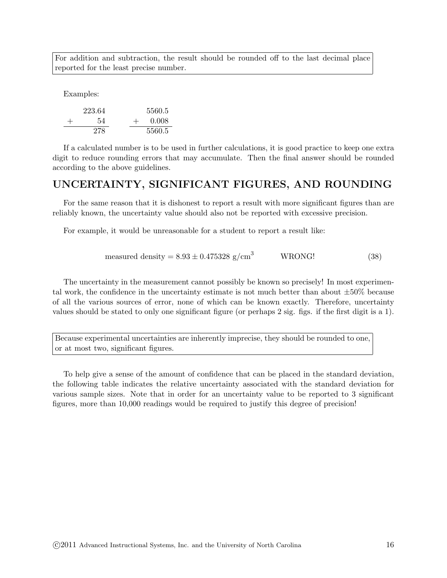For addition and subtraction, the result should be rounded off to the last decimal place reported for the least precise number.

Examples:

|        | 223.64 |     | 5560.5 |
|--------|--------|-----|--------|
| $^{+}$ | 54     | $+$ | 0.008  |
|        | 278    |     | 5560.5 |

If a calculated number is to be used in further calculations, it is good practice to keep one extra digit to reduce rounding errors that may accumulate. Then the final answer should be rounded according to the above guidelines.

# UNCERTAINTY, SIGNIFICANT FIGURES, AND ROUNDING

For the same reason that it is dishonest to report a result with more significant figures than are reliably known, the uncertainty value should also not be reported with excessive precision.

For example, it would be unreasonable for a student to report a result like:

$$
measured density = 8.93 \pm 0.475328 \text{ g/cm}^3
$$
WRONG! (38)

The uncertainty in the measurement cannot possibly be known so precisely! In most experimental work, the confidence in the uncertainty estimate is not much better than about  $\pm 50\%$  because of all the various sources of error, none of which can be known exactly. Therefore, uncertainty values should be stated to only one significant figure (or perhaps 2 sig. figs. if the first digit is a 1).

Because experimental uncertainties are inherently imprecise, they should be rounded to one, or at most two, significant figures.

To help give a sense of the amount of confidence that can be placed in the standard deviation, the following table indicates the relative uncertainty associated with the standard deviation for various sample sizes. Note that in order for an uncertainty value to be reported to 3 significant figures, more than 10,000 readings would be required to justify this degree of precision!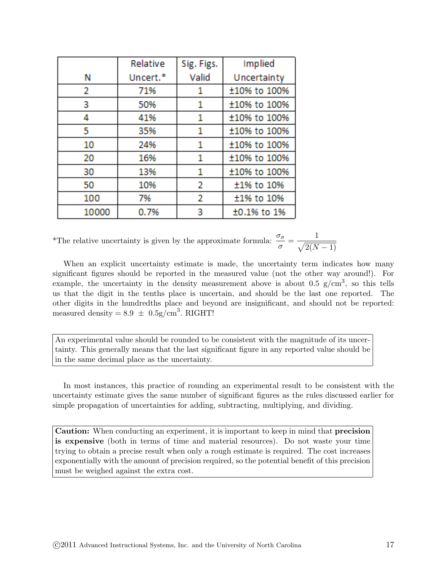|       | Relative | Sig. Figs. | Implied      |
|-------|----------|------------|--------------|
| Ν     | Uncert.* | Valid      | Uncertainty  |
| 2     | 71%      | 1          | ±10% to 100% |
| 3     | 50%      | 1          | ±10% to 100% |
| 4     | 41%      | 1          | ±10% to 100% |
| 5     | 35%      | 1          | ±10% to 100% |
| 10    | 24%      | 1          | ±10% to 100% |
| 20    | 16%      | 1          | ±10% to 100% |
| 30    | 13%      | 1          | ±10% to 100% |
| 50    | 10%      | 2          | ±1% to 10%   |
| 100   | 7%       | 2          | ±1% to 10%   |
| 10000 | 0.7%     |            | ±0.1% to 1%  |

\*The relative uncertainty is given by the approximate formula:  $\frac{\sigma_{\sigma}}{\sigma} = \frac{1}{\sqrt{2(N)}}$  $\sqrt{2(N-1)}$ 

When an explicit uncertainty estimate is made, the uncertainty term indicates how many significant figures should be reported in the measured value (not the other way around!). For example, the uncertainty in the density measurement above is about 0.5  $g/cm^3$ , so this tells us that the digit in the tenths place is uncertain, and should be the last one reported. The other digits in the hundredths place and beyond are insignificant, and should not be reported: measured density =  $8.9 \pm 0.5$ g/cm<sup>3</sup>. RIGHT!

An experimental value should be rounded to be consistent with the magnitude of its uncertainty. This generally means that the last significant figure in any reported value should be in the same decimal place as the uncertainty.

In most instances, this practice of rounding an experimental result to be consistent with the uncertainty estimate gives the same number of significant figures as the rules discussed earlier for simple propagation of uncertainties for adding, subtracting, multiplying, and dividing.

Caution: When conducting an experiment, it is important to keep in mind that precision is expensive (both in terms of time and material resources). Do not waste your time trying to obtain a precise result when only a rough estimate is required. The cost increases exponentially with the amount of precision required, so the potential benefit of this precision must be weighed against the extra cost.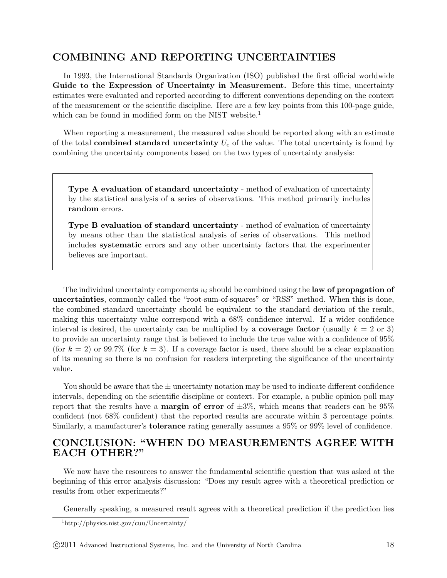# COMBINING AND REPORTING UNCERTAINTIES

In 1993, the International Standards Organization (ISO) published the first official worldwide Guide to the Expression of Uncertainty in Measurement. Before this time, uncertainty estimates were evaluated and reported according to different conventions depending on the context of the measurement or the scientific discipline. Here are a few key points from this 100-page guide, which can be found in modified form on the NIST website.<sup>1</sup>

When reporting a measurement, the measured value should be reported along with an estimate of the total combined standard uncertainty  $U_c$  of the value. The total uncertainty is found by combining the uncertainty components based on the two types of uncertainty analysis:

Type A evaluation of standard uncertainty - method of evaluation of uncertainty by the statistical analysis of a series of observations. This method primarily includes random errors.

Type B evaluation of standard uncertainty - method of evaluation of uncertainty by means other than the statistical analysis of series of observations. This method includes systematic errors and any other uncertainty factors that the experimenter believes are important.

The individual uncertainty components  $u_i$  should be combined using the law of propagation of uncertainties, commonly called the "root-sum-of-squares" or "RSS" method. When this is done, the combined standard uncertainty should be equivalent to the standard deviation of the result, making this uncertainty value correspond with a 68% confidence interval. If a wider confidence interval is desired, the uncertainty can be multiplied by a **coverage factor** (usually  $k = 2$  or 3) to provide an uncertainty range that is believed to include the true value with a confidence of 95% (for  $k = 2$ ) or 99.7% (for  $k = 3$ ). If a coverage factor is used, there should be a clear explanation of its meaning so there is no confusion for readers interpreting the significance of the uncertainty value.

You should be aware that the  $\pm$  uncertainty notation may be used to indicate different confidence intervals, depending on the scientific discipline or context. For example, a public opinion poll may report that the results have a **margin of error** of  $\pm 3\%$ , which means that readers can be  $95\%$ confident (not 68% confident) that the reported results are accurate within 3 percentage points. Similarly, a manufacturer's tolerance rating generally assumes a 95% or 99% level of confidence.

### CONCLUSION: "WHEN DO MEASUREMENTS AGREE WITH EACH OTHER?"

We now have the resources to answer the fundamental scientific question that was asked at the beginning of this error analysis discussion: "Does my result agree with a theoretical prediction or results from other experiments?"

Generally speaking, a measured result agrees with a theoretical prediction if the prediction lies

<sup>1</sup>http://physics.nist.gov/cuu/Uncertainty/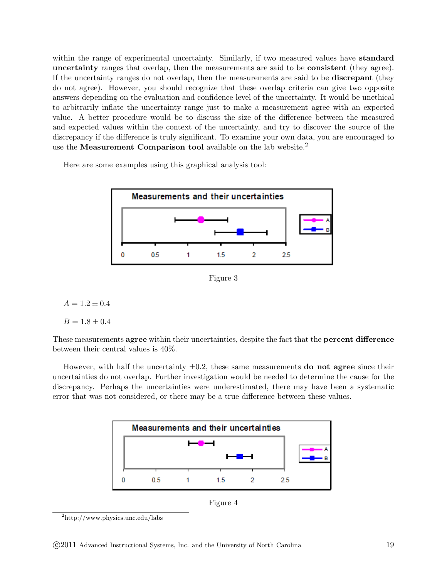within the range of experimental uncertainty. Similarly, if two measured values have **standard** uncertainty ranges that overlap, then the measurements are said to be consistent (they agree). If the uncertainty ranges do not overlap, then the measurements are said to be discrepant (they do not agree). However, you should recognize that these overlap criteria can give two opposite answers depending on the evaluation and confidence level of the uncertainty. It would be unethical to arbitrarily inflate the uncertainty range just to make a measurement agree with an expected value. A better procedure would be to discuss the size of the difference between the measured and expected values within the context of the uncertainty, and try to discover the source of the discrepancy if the difference is truly significant. To examine your own data, you are encouraged to use the Measurement Comparison tool available on the lab website.<sup>2</sup>

Here are some examples using this graphical analysis tool:



Figure 3

$$
A=1.2\pm0.4
$$

$$
B=1.8\pm0.4
$$

These measurements agree within their uncertainties, despite the fact that the percent difference between their central values is 40%.

However, with half the uncertainty  $\pm 0.2$ , these same measurements **do not agree** since their uncertainties do not overlap. Further investigation would be needed to determine the cause for the discrepancy. Perhaps the uncertainties were underestimated, there may have been a systematic error that was not considered, or there may be a true difference between these values.



Figure 4

<sup>2</sup>http://www.physics.unc.edu/labs